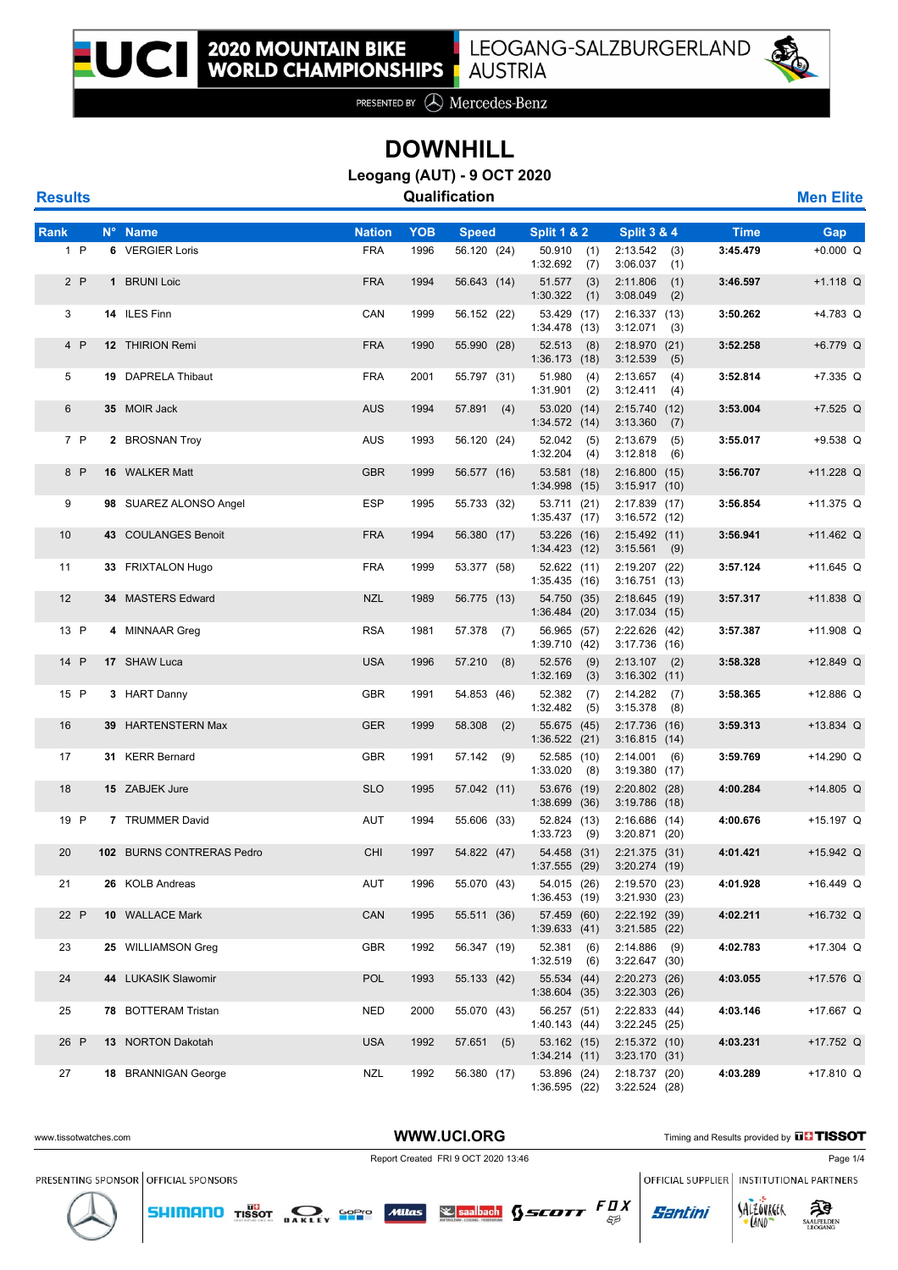

PRESENTED BY **A** Mercedes-Benz

## **DOWNHILL**

**Leogang (AUT) - 9 OCT 2020**

| <b>Results</b> |    |                        |               |            | Qualification |                                  |                                    |             | <b>Men Elite</b> |
|----------------|----|------------------------|---------------|------------|---------------|----------------------------------|------------------------------------|-------------|------------------|
| <b>Rank</b>    |    | N° Name                | <b>Nation</b> | <b>YOB</b> | <b>Speed</b>  | <b>Split 1 &amp; 2</b>           | <b>Split 3 &amp; 4</b>             | <b>Time</b> | Gap              |
| $1$ P          |    | 6 VERGIER Loris        | <b>FRA</b>    | 1996       | 56.120 (24)   | 50.910<br>(1)<br>1:32.692<br>(7) | 2:13.542<br>(3)<br>3:06.037<br>(1) | 3:45.479    | $+0.000 Q$       |
| 2P             |    | <b>BRUNI Loic</b>      | <b>FRA</b>    | 1994       | 56.643 (14)   | 51.577<br>(3)<br>1:30.322<br>(1) | 2:11.806<br>(1)<br>3:08.049<br>(2) | 3:46.597    | $+1.118$ Q       |
| 3              |    | 14 ILES Finn           | CAN           | 1999       | 56.152 (22)   | 53.429 (17)<br>1:34.478(13)      | 2:16.337<br>(13)<br>$3:12.071$ (3) | 3:50.262    | $+4.783$ Q       |
| 4 P            | 12 | <b>THIRION Remi</b>    | <b>FRA</b>    | 1990       | 55.990 (28)   | 52.513<br>(8)<br>1:36.173(18)    | 2:18.970(21)<br>3:12.539<br>(5)    | 3:52.258    | $+6.779$ Q       |
| 5              | 19 | <b>DAPRELA Thibaut</b> | <b>FRA</b>    | 2001       | 55.797 (31)   | 51.980<br>(4)<br>(2)<br>1:31.901 | 2:13.657<br>(4)<br>3:12.411<br>(4) | 3:52.814    | $+7.335$ Q       |
| 6              |    | 35 MOIR Jack           | <b>AUS</b>    | 1994       | 57.891<br>(4) | 53.020 (14)<br>1:34.572(14)      | 2:15.740(12)<br>3:13.360<br>(7)    | 3:53.004    | $+7.525$ Q       |
| 7 P            | 2  | <b>BROSNAN Troy</b>    | <b>AUS</b>    | 1993       | 56.120 (24)   | 52.042<br>(5)<br>1:32.204<br>(4) | 2:13.679<br>(5)<br>3:12.818<br>(6) | 3:55.017    | $+9.538$ Q       |

| 4 P  | 12 THIRION Remi           | <b>FRA</b> | 1990 | 55.990 (28)   | 52.513<br>(8)<br>1:36.173(18)    | 2:18.970 (21)<br>3:12.539<br>(5)   | 3:52.258 | +6.779 Q    |
|------|---------------------------|------------|------|---------------|----------------------------------|------------------------------------|----------|-------------|
| 5    | 19 DAPRELA Thibaut        | <b>FRA</b> | 2001 | 55.797 (31)   | 51.980<br>(4)<br>1:31.901<br>(2) | 2:13.657<br>(4)<br>3:12.411<br>(4) | 3:52.814 | $+7.335$ Q  |
| 6    | 35 MOIR Jack              | <b>AUS</b> | 1994 | $57.891$ (4)  | 53.020 (14)<br>1:34.572 (14)     | 2:15.740 (12)<br>3:13.360<br>(7)   | 3:53.004 | $+7.525$ Q  |
| 7 P  | 2 BROSNAN Troy            | <b>AUS</b> | 1993 | 56.120 (24)   | 52.042 (5)<br>1:32.204<br>(4)    | 2:13.679<br>(5)<br>3:12.818<br>(6) | 3:55.017 | $+9.538$ Q  |
| 8 P  | 16 WALKER Matt            | <b>GBR</b> | 1999 | 56.577 (16)   | 53.581 (18)<br>1:34.998(15)      | 2:16.800(15)<br>3:15.917(10)       | 3:56.707 | +11.228 Q   |
| 9    | 98 SUAREZ ALONSO Angel    | <b>ESP</b> | 1995 | 55.733 (32)   | 53.711 (21)<br>1:35.437(17)      | 2:17.839 (17)<br>3:16.572 (12)     | 3:56.854 | +11.375 Q   |
| 10   | 43 COULANGES Benoit       | <b>FRA</b> | 1994 | 56.380 (17)   | 53.226 (16)<br>1:34.423(12)      | 2:15.492 (11)<br>3:15.561<br>(9)   | 3:56.941 | $+11.462$ Q |
| 11   | 33 FRIXTALON Hugo         | <b>FRA</b> | 1999 | 53.377 (58)   | 52.622 (11)<br>1:35.435(16)      | 2:19.207 (22)<br>3:16.751(13)      | 3:57.124 | $+11.645$ Q |
| 12   | 34 MASTERS Edward         | <b>NZL</b> | 1989 | 56.775 (13)   | 54.750 (35)<br>1:36.484(20)      | 2:18.645(19)<br>3:17.034(15)       | 3:57.317 | $+11.838$ Q |
| 13 P | 4 MINNAAR Greg            | <b>RSA</b> | 1981 | 57.378 (7)    | 56.965 (57)<br>1:39.710 (42)     | 2:22.626(42)<br>3:17.736 (16)      | 3:57.387 | $+11.908$ Q |
| 14 P | 17 SHAW Luca              | <b>USA</b> | 1996 | 57.210<br>(8) | 52.576<br>(9)<br>1:32.169<br>(3) | $2:13.107$ (2)<br>3:16.302(11)     | 3:58.328 | +12.849 Q   |
| 15 P | 3 HART Danny              | <b>GBR</b> | 1991 | 54.853 (46)   | 52.382<br>(7)<br>1:32.482<br>(5) | 2:14.282<br>(7)<br>3:15.378<br>(8) | 3:58.365 | +12.886 Q   |
| 16   | 39 HARTENSTERN Max        | <b>GER</b> | 1999 | 58.308<br>(2) | 55.675 (45)<br>$1:36.522$ (21)   | 2:17.736 (16)<br>3:16.815(14)      | 3:59.313 | $+13.834$ Q |
| 17   | 31 KERR Bernard           | <b>GBR</b> | 1991 | 57.142 (9)    | 52.585 (10)<br>1:33.020<br>(8)   | 2:14.001<br>(6)<br>3:19.380(17)    | 3:59.769 | +14.290 Q   |
| 18   | 15 ZABJEK Jure            | <b>SLO</b> | 1995 | 57.042 (11)   | 53.676 (19)<br>$1:38.699$ (36)   | $2:20.802$ (28)<br>$3:19.786$ (18) | 4:00.284 | $+14.805$ Q |
| 19 P | 7 TRUMMER David           | AUT        | 1994 | 55.606 (33)   | 52.824 (13)<br>1:33.723<br>(9)   | 2:16.686(14)<br>3:20.871(20)       | 4:00.676 | $+15.197$ Q |
| 20   | 102 BURNS CONTRERAS Pedro | <b>CHI</b> | 1997 | 54.822 (47)   | 54.458 (31)<br>1:37.555 (29)     | 2:21.375 (31)<br>$3:20.274$ (19)   | 4:01.421 | $+15.942$ Q |
| 21   | 26 KOLB Andreas           | AUT        | 1996 | 55.070 (43)   | 54.015 (26)<br>1:36.453(19)      | 2:19.570 (23)<br>3:21.930(23)      | 4:01.928 | $+16.449$ Q |
| 22 P | 10 WALLACE Mark           | CAN        | 1995 | 55.511 (36)   | 57.459 (60)<br>1:39.633(41)      | 2:22.192 (39)<br>$3:21.585$ (22)   | 4:02.211 | +16.732 Q   |
| 23   | 25 WILLIAMSON Greg        | <b>GBR</b> | 1992 | 56.347 (19)   | 52.381<br>(6)<br>1:32.519<br>(6) | 2:14.886<br>(9)<br>$3:22.647$ (30) | 4:02.783 | $+17.304$ Q |
| 24   | 44 LUKASIK Slawomir       | <b>POL</b> | 1993 | 55.133 (42)   | 55.534 (44)<br>1:38.604 (35)     | $2:20.273$ (26)<br>$3:22.303$ (26) | 4:03.055 | +17.576 Q   |
| 25   | 78 BOTTERAM Tristan       | <b>NED</b> | 2000 | 55.070 (43)   | 56.257 (51)<br>1:40.143(44)      | 2:22.833 (44)<br>3:22.245 (25)     | 4:03.146 | +17.667 Q   |
| 26 P | 13 NORTON Dakotah         | <b>USA</b> | 1992 | 57.651(5)     | 53.162 (15)<br>1:34.214(11)      | 2:15.372 (10)<br>3:23.170(31)      | 4:03.231 | +17.752 Q   |
| 27   | 18 BRANNIGAN George       | <b>NZL</b> | 1992 | 56.380 (17)   | 53.896 (24)<br>1:36.595(22)      | 2:18.737 (20)<br>$3:22.524$ (28)   | 4:03.289 | +17.810 Q   |

WWW.UCI.ORG Timing and Results provided by **THISSOT** Report Created FRI 9 OCT 2020 13:46 Page 1/4 PRESENTING SPONSOR OFFICIAL SPONSORS OFFICIAL SUPPLIER | INSTITUTIONAL PARTNERS

 $53$ 

**SHIMANO** TISSOT **DAKLEY SPPP** Mitras **Separately** SSCOTT  $FQX$ 





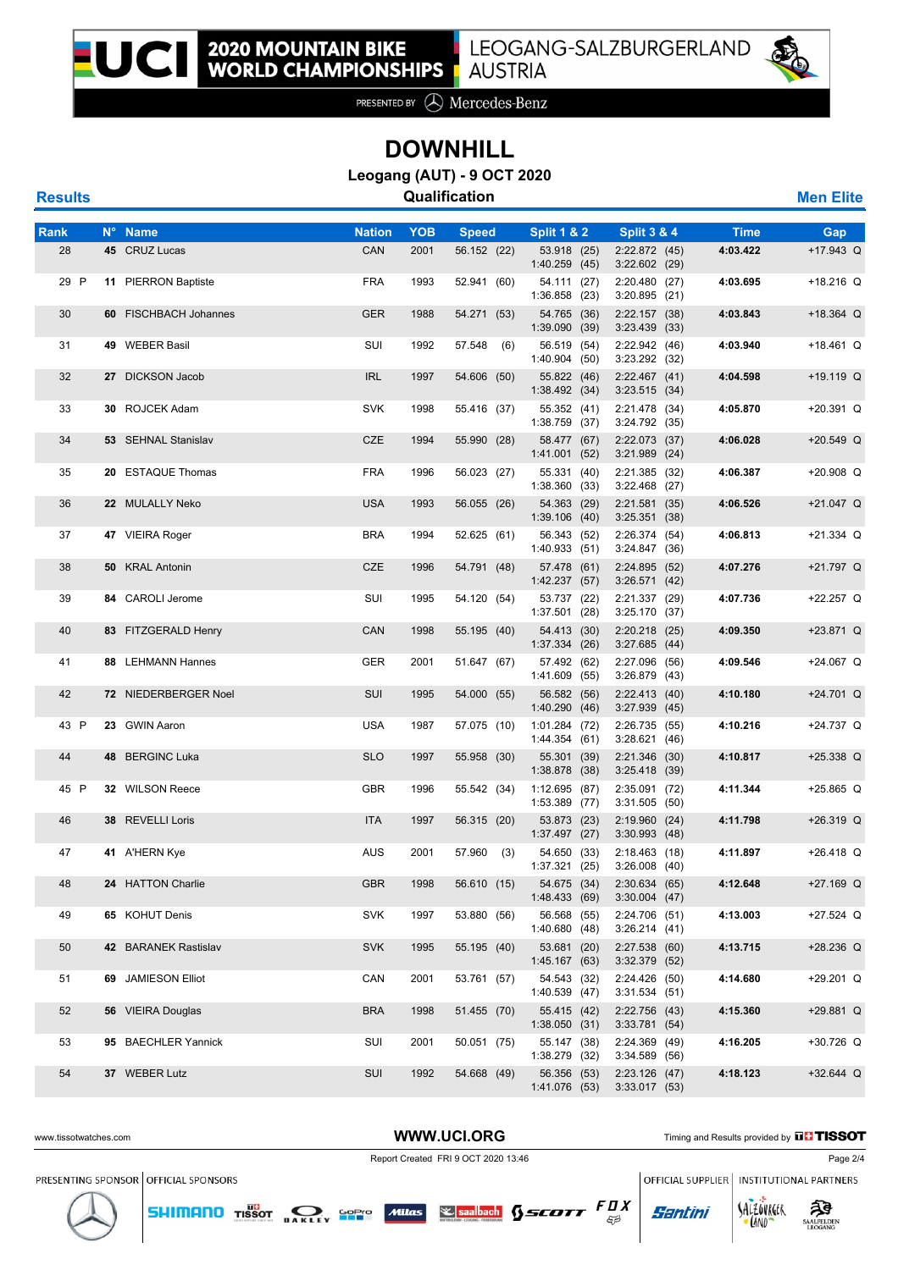

PRESENTED BY **A** Mercedes-Benz

## **DOWNHILL**

**Leogang (AUT) - 9 OCT 2020**

**Results Qualification Men Elite**

| Rank | N° Name               | Nation     | ҮОВ  | <b>Speed</b> | <b>Split 1 &amp; 2</b>          | <b>Split 3 &amp; 4</b>             | Time     | Gap         |
|------|-----------------------|------------|------|--------------|---------------------------------|------------------------------------|----------|-------------|
| 28   | 45 CRUZ Lucas         | CAN        | 2001 | 56.152 (22)  | 53.918 (25)<br>1:40.259(45)     | 2:22.872(45)<br>$3:22.602$ (29)    | 4:03.422 | +17.943 Q   |
| 29 P | 11 PIERRON Baptiste   | <b>FRA</b> | 1993 | 52.941 (60)  | 54.111 (27)<br>1:36.858(23)     | 2:20.480 (27)<br>$3:20.895$ (21)   | 4:03.695 | $+18.216$ Q |
| 30   | 60 FISCHBACH Johannes | <b>GER</b> | 1988 | 54.271 (53)  | 54.765 (36)<br>1:39.090(39)     | 2:22.157(38)<br>$3:23.439$ (33)    | 4:03.843 | +18.364 Q   |
| 31   | 49 WEBER Basil        | SUI        | 1992 | 57.548 (6)   | 56.519 (54)<br>1:40.904(50)     | 2:22.942 (46)<br>3:23.292 (32)     | 4:03.940 | $+18.461$ Q |
| 32   | 27 DICKSON Jacob      | <b>IRL</b> | 1997 | 54.606 (50)  | 55.822 (46)<br>1:38.492(34)     | 2:22.467(41)<br>$3:23.515$ (34)    | 4:04.598 | +19.119 Q   |
| 33   | 30 ROJCEK Adam        | <b>SVK</b> | 1998 | 55.416 (37)  | 55.352 (41)<br>$1:38.759$ (37)  | 2:21.478 (34)<br>3:24.792(35)      | 4:05.870 | $+20.391$ Q |
| 34   | 53 SEHNAL Stanislav   | <b>CZE</b> | 1994 | 55.990 (28)  | 58.477 (67)<br>1:41.001(52)     | 2:22.073 (37)<br>$3:21.989$ (24)   | 4:06.028 | $+20.549$ Q |
| 35   | 20 ESTAQUE Thomas     | <b>FRA</b> | 1996 | 56.023 (27)  | 55.331 (40)<br>1:38.360(33)     | 2:21.385 (32)<br>$3:22.468$ (27)   | 4:06.387 | +20.908 Q   |
| 36   | 22 MULALLY Neko       | <b>USA</b> | 1993 | 56.055 (26)  | 54.363 (29)<br>1:39.106(40)     | 2:21.581(35)<br>3:25.351(38)       | 4:06.526 | +21.047 Q   |
| 37   | 47 VIEIRA Roger       | <b>BRA</b> | 1994 | 52.625 (61)  | 56.343 (52)<br>1:40.933(51)     | 2:26.374 (54)<br>3:24.847(36)      | 4:06.813 | $+21.334$ Q |
| 38   | 50 KRAL Antonin       | <b>CZE</b> | 1996 | 54.791 (48)  | 57.478 (61)<br>1:42.237(57)     | 2:24.895 (52)<br>3:26.571(42)      | 4:07.276 | +21.797 Q   |
| 39   | 84 CAROLI Jerome      | SUI        | 1995 | 54.120 (54)  | 53.737 (22)<br>$1:37.501$ (28)  | 2:21.337 (29)<br>3:25.170(37)      | 4:07.736 | +22.257 Q   |
| 40   | 83 FITZGERALD Henry   | CAN        | 1998 | 55.195 (40)  | 54.413 (30)<br>1:37.334(26)     | $2:20.218$ (25)<br>3:27.685(44)    | 4:09.350 | $+23.871$ Q |
| 41   | 88 LEHMANN Hannes     | <b>GER</b> | 2001 | 51.647 (67)  | 57.492 (62)<br>1:41.609(55)     | 2:27.096 (56)<br>3:26.879(43)      | 4:09.546 | +24.067 Q   |
| 42   | 72 NIEDERBERGER Noel  | SUI        | 1995 | 54.000 (55)  | 56.582 (56)<br>1:40.290(46)     | 2:22.413(40)<br>3:27.939(45)       | 4:10.180 | +24.701 Q   |
| 43 P | 23 GWIN Aaron         | <b>USA</b> | 1987 | 57.075 (10)  | $1:01.284$ (72)<br>1:44.354(61) | 2:26.735(55)<br>3:28.621(46)       | 4:10.216 | +24.737 Q   |
| 44   | 48 BERGINC Luka       | <b>SLO</b> | 1997 | 55.958 (30)  | 55.301 (39)<br>1:38.878 (38)    | $2:21.346$ (30)<br>$3:25.418$ (39) | 4:10.817 | $+25.338$ Q |
| 45 P | 32 WILSON Reece       | <b>GBR</b> | 1996 | 55.542 (34)  | 1:12.695(87)<br>1:53.389 (77)   | 2:35.091 (72)<br>3:31.505(50)      | 4:11.344 | $+25.865$ Q |
| 46   | 38 REVELLI Loris      | <b>ITA</b> | 1997 | 56.315 (20)  | 53.873 (23)<br>1:37.497(27)     | 2:19.960(24)<br>$3:30.993$ (48)    | 4:11.798 | $+26.319$ Q |
| 47   | 41 A'HERN Kye         | <b>AUS</b> | 2001 | 57.960 (3)   | 54.650 (33)<br>1:37.321(25)     | 2:18.463(18)<br>$3:26.008$ (40)    | 4:11.897 | $+26.418$ Q |
| 48   | 24 HATTON Charlie     | <b>GBR</b> | 1998 | 56.610 (15)  | 54.675 (34)<br>1:48.433(69)     | 2:30.634(65)<br>$3:30.004$ (47)    | 4:12.648 | $+27.169$ Q |
| 49   | 65 KOHUT Denis        | <b>SVK</b> | 1997 | 53.880 (56)  | 56.568 (55)<br>1:40.680(48)     | 2:24.706 (51)<br>3:26.214(41)      | 4:13.003 | $+27.524$ Q |
| 50   | 42 BARANEK Rastislav  | <b>SVK</b> | 1995 | 55.195 (40)  | 53.681 (20)<br>1:45.167(63)     | 2:27.538(60)<br>$3:32.379$ (52)    | 4:13.715 | +28.236 Q   |
| 51   | 69 JAMIESON Elliot    | CAN        | 2001 | 53.761 (57)  | 54.543 (32)<br>1:40.539(47)     | 2:24.426 (50)<br>3:31.534(51)      | 4:14.680 | +29.201 Q   |
| 52   | 56 VIEIRA Douglas     | <b>BRA</b> | 1998 | 51.455 (70)  | 55.415 (42)<br>1:38.050(31)     | 2:22.756 (43)<br>3:33.781(54)      | 4:15.360 | +29.881 Q   |
| 53   | 95 BAECHLER Yannick   | SUI        | 2001 | 50.051 (75)  | 55.147 (38)<br>1:38.279 (32)    | 2:24.369 (49)<br>3:34.589(56)      | 4:16.205 | +30.726 Q   |
| 54   | 37 WEBER Lutz         | SUI        | 1992 | 54.668 (49)  | 56.356 (53)<br>1:41.076 (53)    | 2:23.126(47)<br>3:33.017(53)       | 4:18.123 | $+32.644$ Q |

**SHIMANO** TISSOT **DAKLEY SPPP** Mitras **Separately** SSCOTT  $FQX$ 



**LAND** 

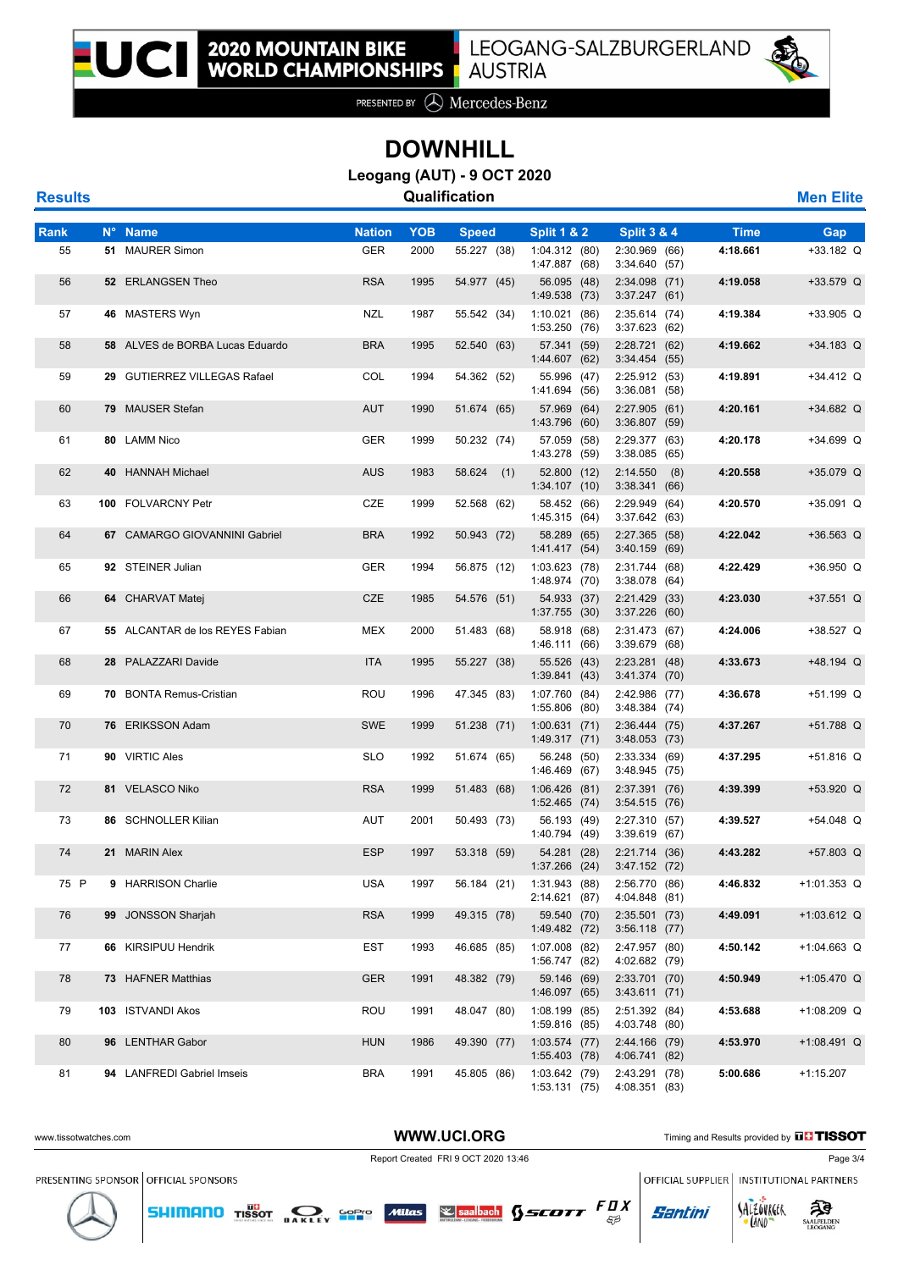

PRESENTED BY **A** Mercedes-Benz

## **DOWNHILL**

**Leogang (AUT) - 9 OCT 2020**

| <b>Men Elite</b> |
|------------------|
|                  |

| Rank | N° Name                         | <b>Nation</b> | <b>YOB</b> |                             |                                        | <b>Split 3 &amp; 4</b>            |                         |                    |
|------|---------------------------------|---------------|------------|-----------------------------|----------------------------------------|-----------------------------------|-------------------------|--------------------|
| 55   | 51 MAURER Simon                 | <b>GER</b>    | 2000       | <b>Speed</b><br>55.227 (38) | <b>Split 1 &amp; 2</b><br>1:04.312(80) | 2:30.969 (66)                     | <b>Time</b><br>4:18.661 | Gap<br>$+33.182$ Q |
|      |                                 |               |            |                             | 1:47.887 (68)                          | 3:34.640 (57)                     |                         |                    |
| 56   | 52 ERLANGSEN Theo               | <b>RSA</b>    | 1995       | 54.977 (45)                 | 56.095 (48)<br>1:49.538 (73)           | $2:34.098$ (71)<br>3:37.247(61)   | 4:19.058                | +33.579 Q          |
| 57   | 46 MASTERS Wyn                  | NZL           | 1987       | 55.542 (34)                 | 1:10.021(86)<br>1:53.250 (76)          | 2:35.614(74)<br>3:37.623(62)      | 4:19.384                | $+33.905$ Q        |
| 58   | 58 ALVES de BORBA Lucas Eduardo | <b>BRA</b>    | 1995       | 52.540 (63)                 | 57.341 (59)<br>1:44.607 (62)           | 2:28.721(62)<br>3:34.454(55)      | 4:19.662                | $+34.183$ Q        |
| 59   | 29 GUTIERREZ VILLEGAS Rafael    | COL           | 1994       | 54.362 (52)                 | 55.996 (47)<br>1:41.694 (56)           | 2:25.912 (53)<br>3:36.081(58)     | 4:19.891                | $+34.412$ Q        |
| 60   | 79 MAUSER Stefan                | <b>AUT</b>    | 1990       | 51.674 (65)                 | 57.969 (64)<br>1:43.796 (60)           | 2:27.905(61)<br>$3:36.807$ (59)   | 4:20.161                | $+34.682$ Q        |
| 61   | 80 LAMM Nico                    | <b>GER</b>    | 1999       | 50.232 (74)                 | 57.059 (58)<br>1:43.278 (59)           | 2:29.377 (63)<br>3:38.085(65)     | 4:20.178                | +34.699 Q          |
| 62   | 40 HANNAH Michael               | <b>AUS</b>    | 1983       | 58.624<br>(1)               | 52.800 (12)<br>1:34.107(10)            | 2:14.550<br>(8)<br>3:38.341(66)   | 4:20.558                | +35.079 Q          |
| 63   | 100 FOLVARCNY Petr              | CZE           | 1999       | 52.568 (62)                 | 58.452 (66)<br>1:45.315 (64)           | 2:29.949<br>(64)<br>3:37.642(63)  | 4:20.570                | +35.091 Q          |
| 64   | 67 CAMARGO GIOVANNINI Gabriel   | <b>BRA</b>    | 1992       | 50.943 (72)                 | 58.289 (65)<br>1:41.417(54)            | 2:27.365 (58)<br>3:40.159<br>(69) | 4:22.042                | $+36.563$ Q        |
| 65   | 92 STEINER Julian               | <b>GER</b>    | 1994       | 56.875 (12)                 | 1:03.623(78)<br>1:48.974 (70)          | 2:31.744 (68)<br>3:38.078<br>(64) | 4:22.429                | $+36.950$ Q        |
| 66   | 64 CHARVAT Matej                | <b>CZE</b>    | 1985       | 54.576 (51)                 | 54.933 (37)<br>1:37.755(30)            | 2:21.429<br>(33)<br>3:37.226(60)  | 4:23.030                | $+37.551$ Q        |
| 67   | 55 ALCANTAR de los REYES Fabian | MEX           | 2000       | 51.483 (68)                 | 58.918 (68)<br>1:46.111(66)            | 2:31.473 (67)<br>3:39.679<br>(68) | 4:24.006                | +38.527 Q          |
| 68   | 28 PALAZZARI Davide             | <b>ITA</b>    | 1995       | 55.227 (38)                 | 55.526 (43)<br>1:39.841(43)            | 2:23.281(48)<br>3:41.374 (70)     | 4:33.673                | +48.194 Q          |
| 69   | 70 BONTA Remus-Cristian         | ROU           | 1996       | 47.345 (83)                 | 1:07.760 (84)<br>1:55.806(80)          | 2:42.986<br>(77)<br>3:48.384 (74) | 4:36.678                | +51.199 Q          |
| 70   | 76 ERIKSSON Adam                | <b>SWE</b>    | 1999       | 51.238 (71)                 | 1:00.631(71)<br>1:49.317(71)           | 2:36.444(75)<br>3:48.053(73)      | 4:37.267                | +51.788 Q          |
| 71   | 90 VIRTIC Ales                  | <b>SLO</b>    | 1992       | 51.674 (65)                 | 56.248 (50)<br>1:46.469 (67)           | 2:33.334 (69)<br>3:48.945<br>(75) | 4:37.295                | +51.816 Q          |
| 72   | 81 VELASCO Niko                 | <b>RSA</b>    | 1999       | 51.483 (68)                 | 1:06.426(81)<br>$1:52.465$ (74)        | 2:37.391 (76)<br>3:54.515(76)     | 4:39.399                | +53.920 Q          |
| 73   | 86 SCHNOLLER Kilian             | AUT           | 2001       | 50.493 (73)                 | 56.193 (49)<br>1:40.794 (49)           | 2:27.310 (57)<br>3:39.619 (67)    | 4:39.527                | $+54.048$ Q        |
| 74   | 21 MARIN Alex                   | <b>ESP</b>    | 1997       | 53.318 (59)                 | 54.281 (28)<br>$1:37.266$ (24)         | 2:21.714 (36)<br>3:47.152 (72)    | 4:43.282                | +57.803 Q          |
| 75 P | 9 HARRISON Charlie              | USA           | 1997       | 56.184 (21)                 | 1:31.943 (88)<br>2:14.621 (87)         | 2:56.770 (86)<br>4:04.848 (81)    | 4:46.832                | $+1:01.353$ Q      |
| 76   | 99 JONSSON Sharjah              | <b>RSA</b>    | 1999       | 49.315 (78)                 | 59.540 (70)<br>1:49.482 (72)           | 2:35.501(73)<br>3:56.118 (77)     | 4:49.091                | $+1:03.612$ Q      |
| 77   | 66 KIRSIPUU Hendrik             | EST           | 1993       | 46.685 (85)                 | 1:07.008 (82)<br>1:56.747 (82)         | 2:47.957 (80)<br>4:02.682 (79)    | 4:50.142                | $+1:04.663$ Q      |
| 78   | 73 HAFNER Matthias              | <b>GER</b>    | 1991       | 48.382 (79)                 | 59.146 (69)<br>1:46.097 (65)           | 2:33.701 (70)<br>3:43.611(71)     | 4:50.949                | $+1:05.470$ Q      |
| 79   | 103 ISTVANDI Akos               | ROU           | 1991       | 48.047 (80)                 | 1:08.199 (85)<br>1:59.816 (85)         | 2:51.392 (84)<br>4:03.748 (80)    | 4:53.688                | $+1:08.209$ Q      |
| 80   | 96 LENTHAR Gabor                | <b>HUN</b>    | 1986       | 49.390 (77)                 | $1:03.574$ (77)<br>1:55.403 (78)       | 2:44.166 (79)<br>4:06.741 (82)    | 4:53.970                | $+1:08.491$ Q      |
| 81   | 94 LANFREDI Gabriel Imseis      | <b>BRA</b>    | 1991       | 45.805 (86)                 | 1:03.642 (79)<br>1:53.131(75)          | 2:43.291 (78)<br>4:08.351 (83)    | 5:00.686                | $+1:15.207$        |





Santini



**LAND**